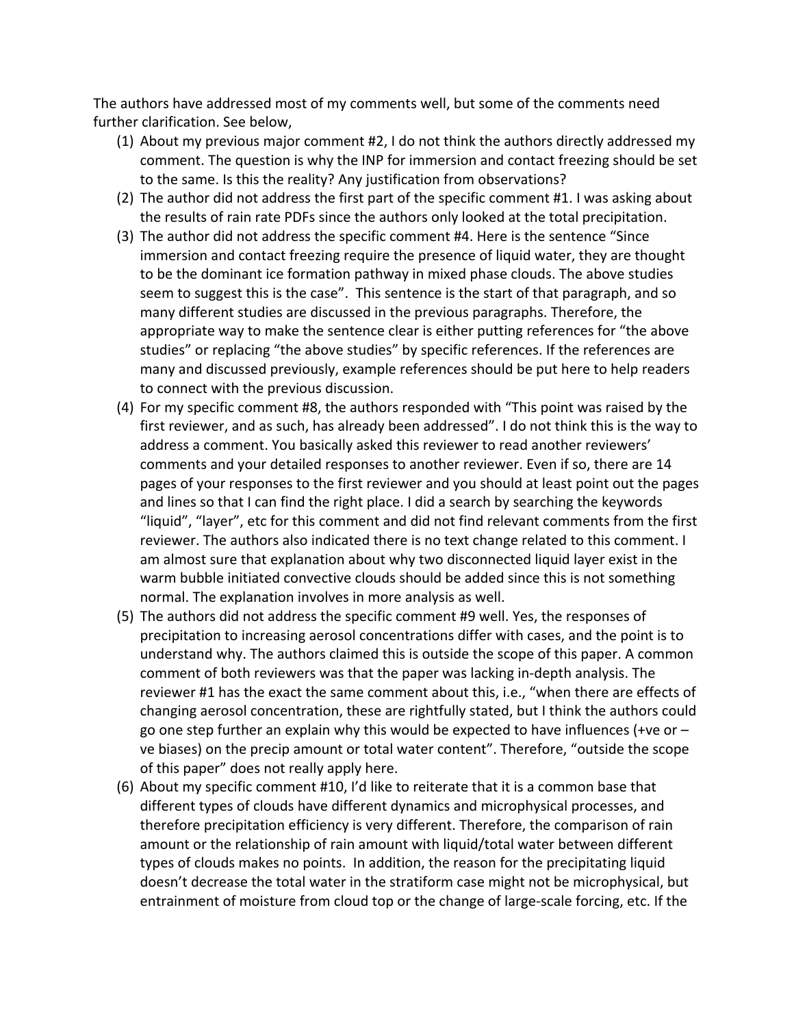The authors have addressed most of my comments well, but some of the comments need further clarification. See below,

- (1) About my previous major comment  $#2$ , I do not think the authors directly addressed my comment. The question is why the INP for immersion and contact freezing should be set to the same. Is this the reality? Any justification from observations?
- (2) The author did not address the first part of the specific comment #1. I was asking about the results of rain rate PDFs since the authors only looked at the total precipitation.
- (3) The author did not address the specific comment #4. Here is the sentence "Since immersion and contact freezing require the presence of liquid water, they are thought to be the dominant ice formation pathway in mixed phase clouds. The above studies seem to suggest this is the case". This sentence is the start of that paragraph, and so many different studies are discussed in the previous paragraphs. Therefore, the appropriate way to make the sentence clear is either putting references for "the above studies" or replacing "the above studies" by specific references. If the references are many and discussed previously, example references should be put here to help readers to connect with the previous discussion.
- (4) For my specific comment #8, the authors responded with "This point was raised by the first reviewer, and as such, has already been addressed". I do not think this is the way to address a comment. You basically asked this reviewer to read another reviewers' comments and your detailed responses to another reviewer. Even if so, there are 14 pages of your responses to the first reviewer and you should at least point out the pages and lines so that I can find the right place. I did a search by searching the keywords "liquid", "layer", etc for this comment and did not find relevant comments from the first reviewer. The authors also indicated there is no text change related to this comment. I am almost sure that explanation about why two disconnected liquid layer exist in the warm bubble initiated convective clouds should be added since this is not something normal. The explanation involves in more analysis as well.
- (5) The authors did not address the specific comment #9 well. Yes, the responses of precipitation to increasing aerosol concentrations differ with cases, and the point is to understand why. The authors claimed this is outside the scope of this paper. A common comment of both reviewers was that the paper was lacking in-depth analysis. The reviewer #1 has the exact the same comment about this, i.e., "when there are effects of changing aerosol concentration, these are rightfully stated, but I think the authors could go one step further an explain why this would be expected to have influences (+ve or  $$ ve biases) on the precip amount or total water content". Therefore, "outside the scope of this paper" does not really apply here.
- (6) About my specific comment  $#10$ , I'd like to reiterate that it is a common base that different types of clouds have different dynamics and microphysical processes, and therefore precipitation efficiency is very different. Therefore, the comparison of rain amount or the relationship of rain amount with liquid/total water between different types of clouds makes no points. In addition, the reason for the precipitating liquid doesn't decrease the total water in the stratiform case might not be microphysical, but entrainment of moisture from cloud top or the change of large-scale forcing, etc. If the